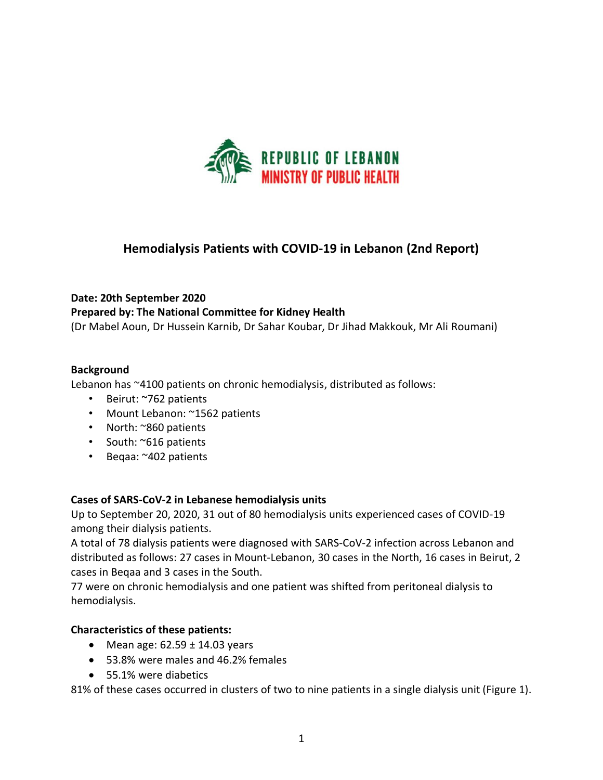

# **Hemodialysis Patients with COVID-19 in Lebanon (2nd Report)**

## **Date: 20th September 2020**

## **Prepared by: The National Committee for Kidney Health**

(Dr Mabel Aoun, Dr Hussein Karnib, Dr Sahar Koubar, Dr Jihad Makkouk, Mr Ali Roumani)

## **Background**

Lebanon has ~4100 patients on chronic hemodialysis, distributed as follows:

- Beirut: ~762 patients
- Mount Lebanon: ~1562 patients
- North: ~860 patients
- South: ~616 patients
- Beqaa: ~402 patients

# **Cases of SARS-CoV-2 in Lebanese hemodialysis units**

Up to September 20, 2020, 31 out of 80 hemodialysis units experienced cases of COVID-19 among their dialysis patients.

A total of 78 dialysis patients were diagnosed with SARS-CoV-2 infection across Lebanon and distributed as follows: 27 cases in Mount-Lebanon, 30 cases in the North, 16 cases in Beirut, 2 cases in Beqaa and 3 cases in the South.

77 were on chronic hemodialysis and one patient was shifted from peritoneal dialysis to hemodialysis.

# **Characteristics of these patients:**

- Mean age:  $62.59 \pm 14.03$  years
- 53.8% were males and 46.2% females
- 55.1% were diabetics

81% of these cases occurred in clusters of two to nine patients in a single dialysis unit (Figure 1).